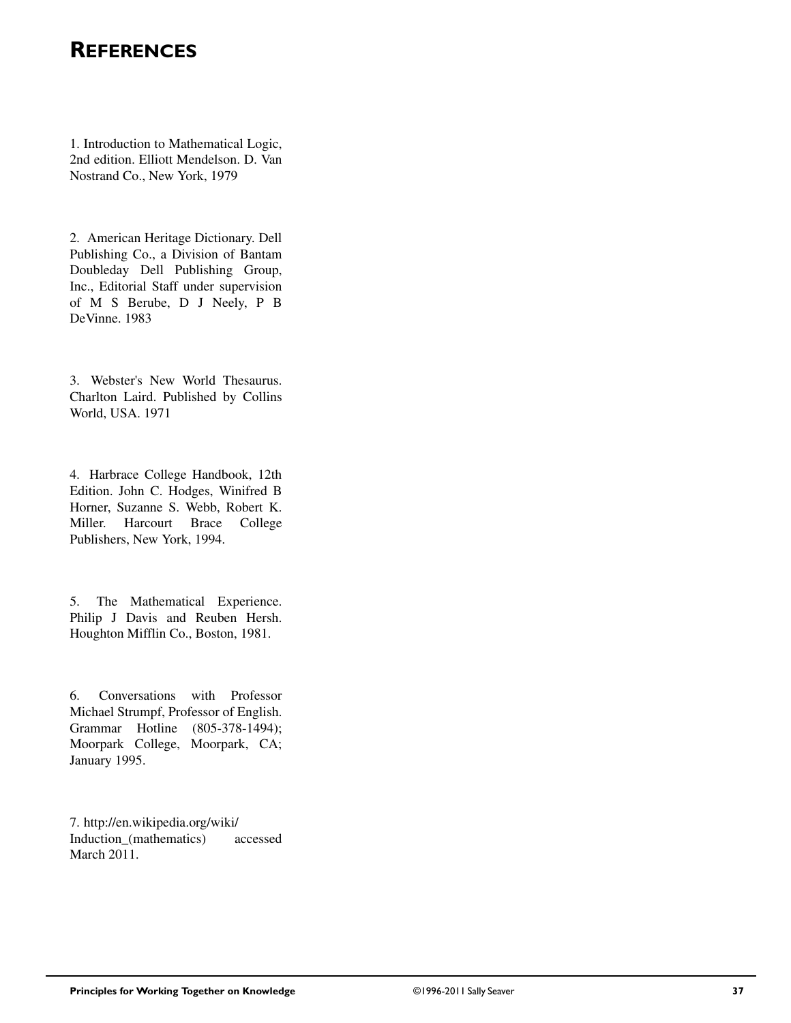## **REFERENCES**

1. Introduction to Mathematical Logic, 2nd edition. Elliott Mendelson. D. Van Nostrand Co., New York, 1979

2. American Heritage Dictionary. Dell Publishing Co., a Division of Bantam Doubleday Dell Publishing Group, Inc., Editorial Staff under supervision of M S Berube, D J Neely, P B DeVinne. 1983

3. Webster's New World Thesaurus. Charlton Laird. Published by Collins World, USA. 1971

4. Harbrace College Handbook, 12th Edition. John C. Hodges, Winifred B Horner, Suzanne S. Webb, Robert K. Miller. Harcourt Brace College Publishers, New York, 1994.

5. The Mathematical Experience. Philip J Davis and Reuben Hersh. Houghton Mifflin Co., Boston, 1981.

6. Conversations with Professor Michael Strumpf, Professor of English. Grammar Hotline (805-378-1494); Moorpark College, Moorpark, CA; January 1995.

7. http://en.wikipedia.org/wiki/ Induction\_(mathematics) accessed March 2011.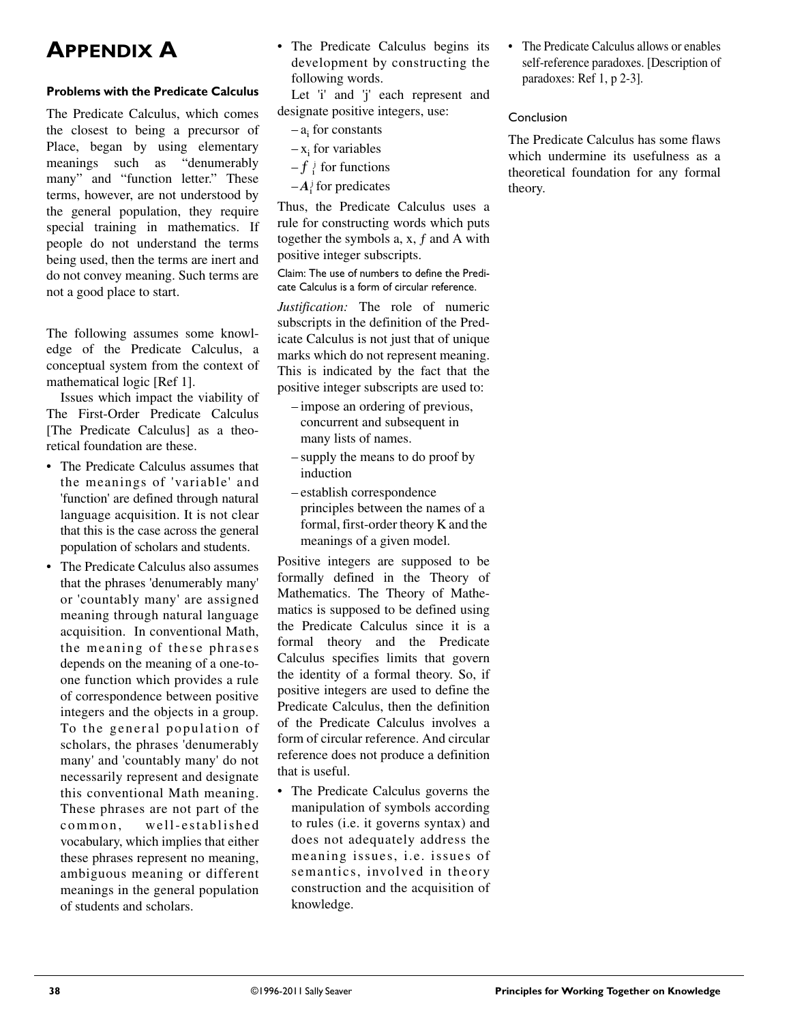## **APPENDIX A**

#### **Problems with the Predicate Calculus**

The Predicate Calculus, which comes the closest to being a precursor of Place, began by using elementary meanings such as "denumerably many" and "function letter." These terms, however, are not understood by the general population, they require special training in mathematics. If people do not understand the terms being used, then the terms are inert and do not convey meaning. Such terms are not a good place to start.

The following assumes some knowledge of the Predicate Calculus, a conceptual system from the context of mathematical logic [Ref 1].

Issues which impact the viability of The First-Order Predicate Calculus [The Predicate Calculus] as a theoretical foundation are these.

- The Predicate Calculus assumes that the meanings of 'variable' and 'function' are defined through natural language acquisition. It is not clear that this is the case across the general population of scholars and students.
- The Predicate Calculus also assumes that the phrases 'denumerably many' or 'countably many' are assigned meaning through natural language acquisition. In conventional Math, the meaning of these phrases depends on the meaning of a one-toone function which provides a rule of correspondence between positive integers and the objects in a group. To the general population of scholars, the phrases 'denumerably many' and 'countably many' do not necessarily represent and designate this conventional Math meaning. These phrases are not part of the common, well-established vocabulary, which implies that either these phrases represent no meaning, ambiguous meaning or different meanings in the general population of students and scholars.

• The Predicate Calculus begins its development by constructing the following words.

Let 'i' and 'j' each represent and designate positive integers, use:

- $a_i$  for constants
- $-x_i$  for variables
- $-f_i$  for functions
- $-A_i^{\dagger}$  for predicates

Thus, the Predicate Calculus uses a rule for constructing words which puts together the symbols  $a, x, f$  and  $A$  with positive integer subscripts.

Claim: The use of numbers to define the Predicate Calculus is a form of circular reference.

*Justification:* The role of numeric subscripts in the definition of the Predicate Calculus is not just that of unique marks which do not represent meaning. This is indicated by the fact that the positive integer subscripts are used to:

- impose an ordering of previous, concurrent and subsequent in many lists of names.
- supply the means to do proof by induction
- establish correspondence principles between the names of a formal, first-order theory K and the meanings of a given model.

Positive integers are supposed to be formally defined in the Theory of Mathematics. The Theory of Mathematics is supposed to be defined using the Predicate Calculus since it is a formal theory and the Predicate Calculus specifies limits that govern the identity of a formal theory. So, if positive integers are used to define the Predicate Calculus, then the definition of the Predicate Calculus involves a form of circular reference. And circular reference does not produce a definition that is useful.

• The Predicate Calculus governs the manipulation of symbols according to rules (i.e. it governs syntax) and does not adequately address the meaning issues, i.e. issues of semantics, involved in theory construction and the acquisition of knowledge.

• The Predicate Calculus allows or enables self-reference paradoxes. [Description of paradoxes: Ref 1, p 2-3].

#### Conclusion

The Predicate Calculus has some flaws which undermine its usefulness as a theoretical foundation for any formal theory.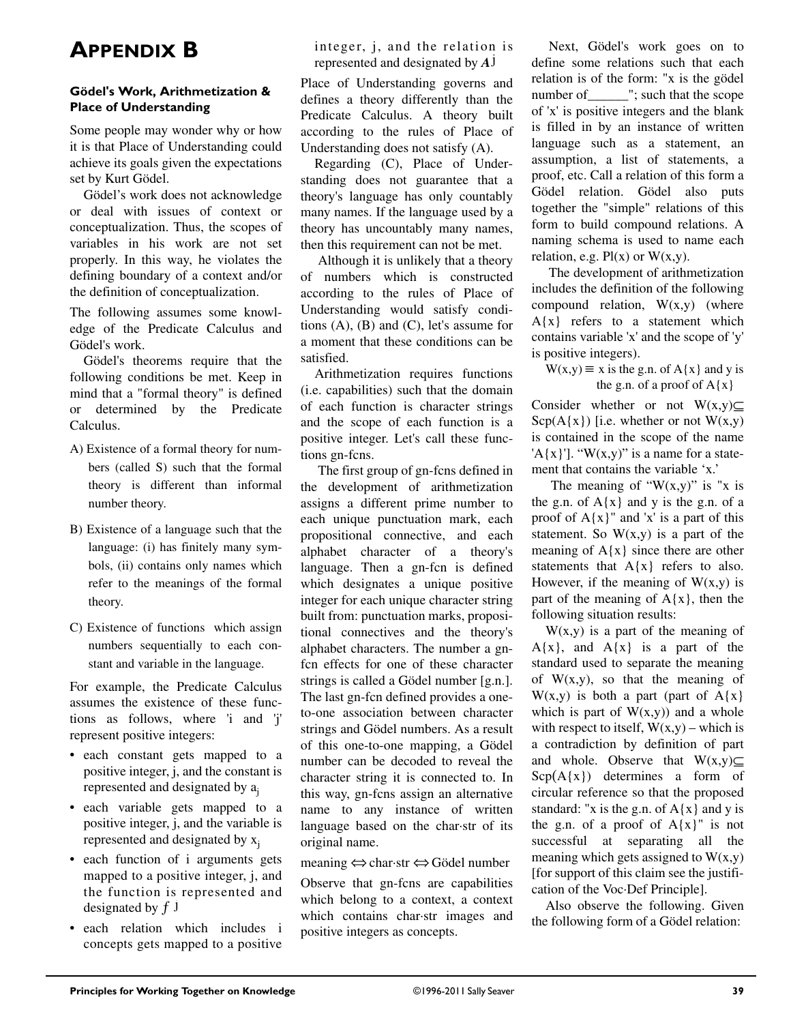## **APPENDIX B**

#### **Gödel's Work, Arithmetization & Place of Understanding**

Some people may wonder why or how it is that Place of Understanding could achieve its goals given the expectations set by Kurt Gödel.

Gödel's work does not acknowledge or deal with issues of context or conceptualization. Thus, the scopes of variables in his work are not set properly. In this way, he violates the defining boundary of a context and/or the definition of conceptualization.

The following assumes some knowledge of the Predicate Calculus and Gödel's work.

Gödel's theorems require that the following conditions be met. Keep in mind that a "formal theory" is defined or determined by the Predicate Calculus.

- A) Existence of a formal theory for numbers (called S) such that the formal theory is different than informal number theory.
- B) Existence of a language such that the language: (i) has finitely many symbols, (ii) contains only names which refer to the meanings of the formal theory.
- C) Existence of functions which assign numbers sequentially to each constant and variable in the language.

For example, the Predicate Calculus assumes the existence of these functions as follows, where 'i and 'j' represent positive integers:

- each constant gets mapped to a positive integer, j, and the constant is represented and designated by aj
- each variable gets mapped to a positive integer, j, and the variable is represented and designated by  $x_i$
- each function of i arguments gets mapped to a positive integer, j, and the function is represented and designated by  $f$  j
- each relation which includes i concepts gets mapped to a positive

integer, j, and the relation is represented and designated by *A* j

Place of Understanding governs and defines a theory differently than the Predicate Calculus. A theory built according to the rules of Place of Understanding does not satisfy (A).

Regarding (C), Place of Understanding does not guarantee that a theory's language has only countably many names. If the language used by a theory has uncountably many names, then this requirement can not be met.

 Although it is unlikely that a theory of numbers which is constructed according to the rules of Place of Understanding would satisfy conditions  $(A)$ ,  $(B)$  and  $(C)$ , let's assume for a moment that these conditions can be satisfied.

Arithmetization requires functions (i.e. capabilities) such that the domain of each function is character strings and the scope of each function is a positive integer. Let's call these functions gn-fcns.

 The first group of gn-fcns defined in the development of arithmetization assigns a different prime number to each unique punctuation mark, each propositional connective, and each alphabet character of a theory's language. Then a gn-fcn is defined which designates a unique positive integer for each unique character string built from: punctuation marks, propositional connectives and the theory's alphabet characters. The number a gnfcn effects for one of these character strings is called a Gödel number [g.n.]. The last gn-fcn defined provides a oneto-one association between character strings and Gödel numbers. As a result of this one-to-one mapping, a Gödel number can be decoded to reveal the character string it is connected to. In this way, gn-fcns assign an alternative name to any instance of written language based on the char·str of its original name.

#### meaning ⇔ char·str ⇔ Gödel number

Observe that gn-fcns are capabilities which belong to a context, a context which contains char·str images and positive integers as concepts.

 Next, Gödel's work goes on to define some relations such that each relation is of the form: "x is the gödel number of \_\_\_\_\_\_\_"; such that the scope of 'x' is positive integers and the blank is filled in by an instance of written language such as a statement, an assumption, a list of statements, a proof, etc. Call a relation of this form a Gödel relation. Gödel also puts together the "simple" relations of this form to build compound relations. A naming schema is used to name each relation, e.g.  $Pl(x)$  or  $W(x,y)$ .

 The development of arithmetization includes the definition of the following compound relation,  $W(x,y)$  (where  $A{x}$  refers to a statement which contains variable 'x' and the scope of 'y' is positive integers).

 $W(x,y) \equiv x$  is the g.n. of A{x} and y is the g.n. of a proof of  $A{x}$ 

Consider whether or not  $W(x,y)$  $Sep(A{x})$  [i.e. whether or not  $W(x,y)$ ] is contained in the scope of the name 'A{x}']. "W(x,y)" is a name for a statement that contains the variable 'x.'

The meaning of " $W(x,y)$ " is "x is the g.n. of  $A\{x\}$  and y is the g.n. of a proof of  $A{x}$ " and 'x' is a part of this statement. So  $W(x,y)$  is a part of the meaning of  $A{x}$  since there are other statements that  $A{x}$  refers to also. However, if the meaning of  $W(x,y)$  is part of the meaning of  $A\{x\}$ , then the following situation results:

 $W(x,y)$  is a part of the meaning of  $A\{x\}$ , and  $A\{x\}$  is a part of the standard used to separate the meaning of  $W(x,y)$ , so that the meaning of  $W(x,y)$  is both a part (part of A{x}) which is part of  $W(x,y)$  and a whole with respect to itself,  $W(x,y)$  – which is a contradiction by definition of part and whole. Observe that  $W(x,y) \subseteq$  $\text{Scp}(A\{x\})$  determines a form of circular reference so that the proposed standard: "x is the g.n. of  $A\{x\}$  and y is the g.n. of a proof of  $A{x}$ " is not successful at separating all the meaning which gets assigned to  $W(x,y)$ [for support of this claim see the justification of the Voc·Def Principle].

Also observe the following. Given the following form of a Gödel relation: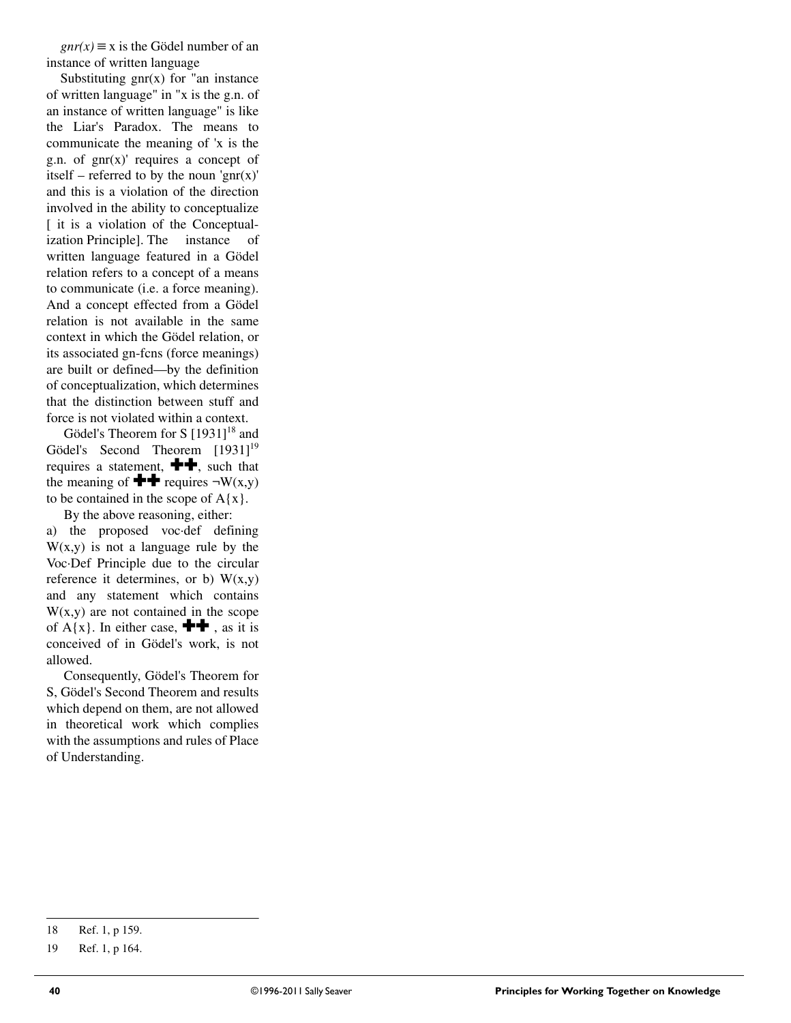$gnr(x) \equiv x$  is the Gödel number of an instance of written language

Substituting  $gnr(x)$  for "an instance of written language" in "x is the g.n. of an instance of written language" is like the Liar's Paradox. The means to communicate the meaning of 'x is the g.n. of  $gnr(x)$  requires a concept of itself – referred to by the noun 'gnr $(x)$ ' and this is a violation of the direction involved in the ability to conceptualize [ it is a violation of the Conceptualization Principle]. The instance of written language featured in a Gödel relation refers to a concept of a means to communicate (i.e. a force meaning). And a concept effected from a Gödel relation is not available in the same context in which the Gödel relation, or its associated gn-fcns (force meanings) are built or defined—by the definition of conceptualization, which determines that the distinction between stuff and force is not violated within a context.

Gödel's Theorem for S [1931]<sup>18</sup> and Gödel's Second Theorem [1931]<sup>19</sup> requires a statement,  $\blacksquare$ , such that the meaning of  $\blacktriangleright$  requires  $\neg W(x,y)$ to be contained in the scope of  $A\{x\}$ .

 By the above reasoning, either: a) the proposed voc·def defining  $W(x,y)$  is not a language rule by the Voc·Def Principle due to the circular reference it determines, or b)  $W(x,y)$ and any statement which contains  $W(x,y)$  are not contained in the scope of  $A\{x\}$ . In either case,  $\blacksquare\blacksquare$ , as it is conceived of in Gödel's work, is not allowed.

 Consequently, Gödel's Theorem for S, Gödel's Second Theorem and results which depend on them, are not allowed in theoretical work which complies with the assumptions and rules of Place of Understanding.

<sup>18</sup> Ref. 1, p 159.

<sup>19</sup> Ref. 1, p 164.